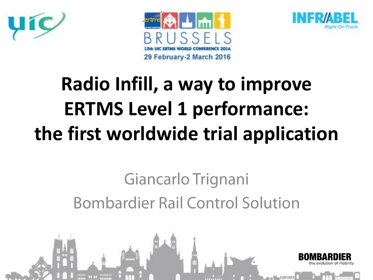





### **Radio Infill, a way to improve ERTMS Level 1 performance: the first worldwide trial application**

#### Giancarlo Trignani **Bombardier Rail Control Solution**

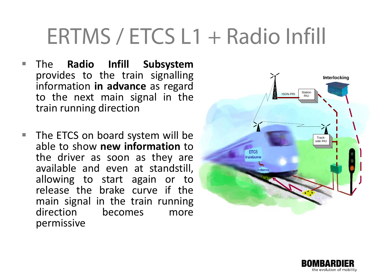#### ERTMS / ETCS L1 + Radio Infill

- The **Radio Infill Subsystem**<br>provides to the train signalling<br>information in advance as regard provides to the train signalling information **in advance** as regard to the next main signal in the train running direction
- The ETCS on board system will be able to show **new information** to the driver as soon as they are available and even at standstill, allowing to start again or to release the brake curve if the main signal in the train running direction becomes more permissive



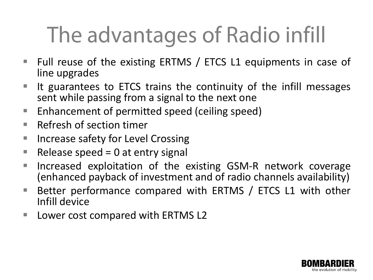## The advantages of Radio infill

- Full reuse of the existing ERTMS / ETCS L1 equipments in case of line upgrades
- $\blacksquare$  It guarantees to ETCS trains the continuity of the infill messages sent while passing from a signal to the next one
- Enhancement of permitted speed (ceiling speed)
- $\blacksquare$  Refresh of section timer
- Increase safety for Level Crossing
- Release speed =  $0$  at entry signal
- **Increased exploitation of the existing GSM-R network coverage** (enhanced payback of investment and of radio channels availability)
- Better performance compared with ERTMS / ETCS L1 with other Infill device
- Lower cost compared with ERTMS L2

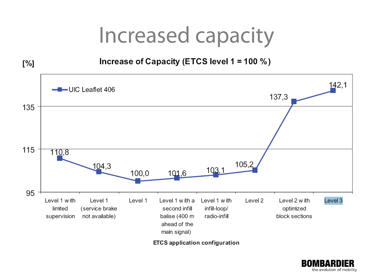#### Increased capacity



ETCS application configuration

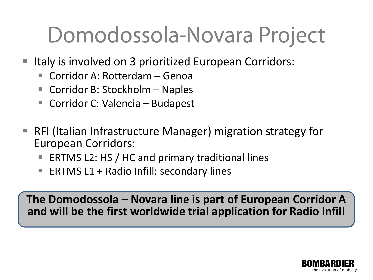### Domodossola-Novara Project

- Italy is involved on 3 prioritized European Corridors:
	- Corridor A: Rotterdam Genoa
	- Corridor B: Stockholm Naples
	- Corridor C: Valencia Budapest
- RFI (Italian Infrastructure Manager) migration strategy for European Corridors:
	- ERTMS L2: HS / HC and primary traditional lines
	- **ERTMS L1 + Radio Infill: secondary lines**

**The Domodossola – Novara line is part of European Corridor A and will be the first worldwide trial application for Radio Infill** 

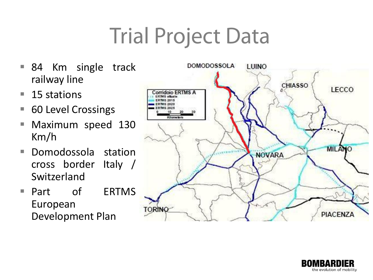## **Trial Project Data**

- 84 Km single track railway line
- $\blacksquare$  15 stations
- 60 Level Crossings
- Maximum speed 130 Km/h
- Domodossola station cross border Italy / Switzerland
- Part of ERTMS European Development Plan



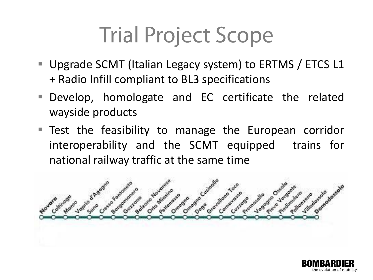## **Trial Project Scope**

- Upgrade SCMT (Italian Legacy system) to ERTMS / ETCS L1 + Radio Infill compliant to BL3 specifications
- Develop, homologate and EC certificate the related wayside products
- Test the feasibility to manage the European corridor interoperability and the SCMT equipped trains for national railway traffic at the same time



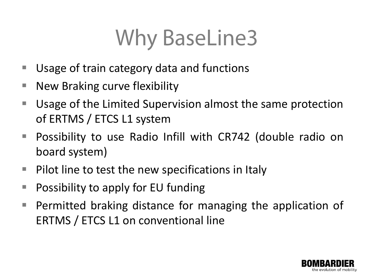#### **Why BaseLine3**

- Usage of train category data and functions
- New Braking curve flexibility
- Usage of the Limited Supervision almost the same protection of ERTMS / ETCS L1 system
- Possibility to use Radio Infill with CR742 (double radio on board system)
- $\blacksquare$  Pilot line to test the new specifications in Italy
- **Possibility to apply for EU funding**
- **Permitted braking distance for managing the application of** ERTMS / ETCS L1 on conventional line

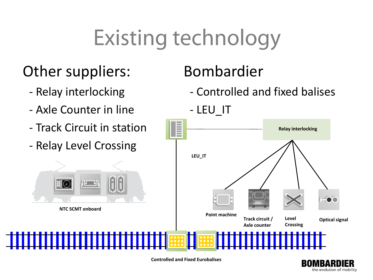## **Existing technology**

#### Other suppliers: Bombardier

- 
- Axle Counter in line LEU\_IT
- Track Circuit in station
- Relay Level Crossing

- Relay interlocking The Controlled and fixed balises





**Controlled and Fixed Eurobalises**

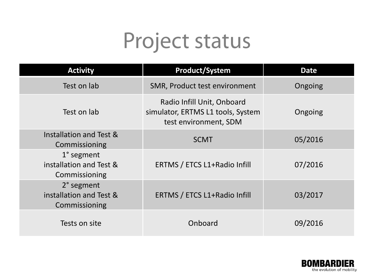#### Project status

| <b>Activity</b>                                        | <b>Product/System</b>                                                                    | <b>Date</b> |
|--------------------------------------------------------|------------------------------------------------------------------------------------------|-------------|
| Test on lab                                            | SMR, Product test environment                                                            | Ongoing     |
| Test on lab                                            | Radio Infill Unit, Onboard<br>simulator, ERTMS L1 tools, System<br>test environment, SDM | Ongoing     |
| Installation and Test &<br>Commissioning               | <b>SCMT</b>                                                                              | 05/2016     |
| 1° segment<br>installation and Test &<br>Commissioning | ERTMS / ETCS L1+Radio Infill                                                             | 07/2016     |
| 2° segment<br>installation and Test &<br>Commissioning | ERTMS / ETCS L1+Radio Infill                                                             | 03/2017     |
| Tests on site                                          | Onboard                                                                                  | 09/2016     |

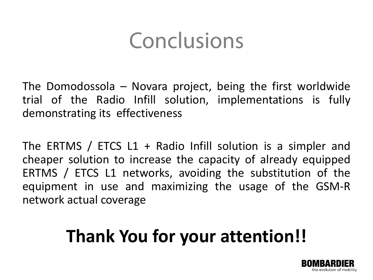#### Conclusions

The Domodossola – Novara project, being the first worldwide trial of the Radio Infill solution, implementations is fully demonstrating its effectiveness

The ERTMS / ETCS L1 + Radio Infill solution is a simpler and cheaper solution to increase the capacity of already equipped ERTMS / ETCS L1 networks, avoiding the substitution of the equipment in use and maximizing the usage of the GSM-R network actual coverage

#### **Thank You for your attention!!**